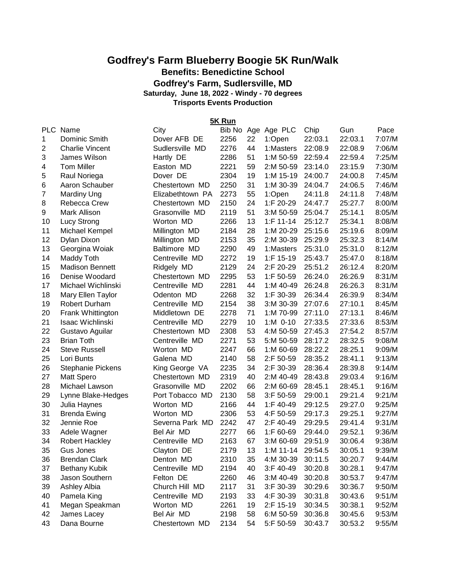# **Godfrey's Farm Blueberry Boogie 5K Run/Walk Benefits: Benedictine School**

**Godfrey's Farm, Sudlersville, MD**

**Saturday, June 18, 2022 - Windy - 70 degrees**

**Trisports Events Production**

**5K Run**

| <b>PLC</b>     | Name                   | City             | Bib No Age |    | Age PLC      | Chip    | Gun     | Pace   |
|----------------|------------------------|------------------|------------|----|--------------|---------|---------|--------|
| 1              | Dominic Smith          | Dover AFB DE     | 2256       | 22 | 1:Open       | 22:03.1 | 22:03.1 | 7:07/M |
| $\overline{2}$ | <b>Charlie Vincent</b> | Sudlersville MD  | 2276       | 44 | 1:Masters    | 22:08.9 | 22:08.9 | 7:06/M |
| 3              | James Wilson           | Hartly DE        | 2286       | 51 | 1:M 50-59    | 22:59.4 | 22:59.4 | 7:25/M |
| 4              | <b>Tom Miller</b>      | Easton MD        | 2221       | 59 | 2:M 50-59    | 23:14.0 | 23:15.9 | 7:30/M |
| 5              | Raul Noriega           | Dover DE         | 2304       | 19 | 1:M 15-19    | 24:00.7 | 24:00.8 | 7:45/M |
| 6              | Aaron Schauber         | Chestertown MD   | 2250       | 31 | 1:M 30-39    | 24:04.7 | 24:06.5 | 7:46/M |
| $\overline{7}$ | <b>Mardiny Ung</b>     | Elizabethtown PA | 2273       | 55 | 1:Open       | 24:11.8 | 24:11.8 | 7:48/M |
| 8              | <b>Rebecca Crew</b>    | Chestertown MD   | 2150       | 24 | 1:F 20-29    | 24:47.7 | 25:27.7 | 8:00/M |
| 9              | Mark Allison           | Grasonville MD   | 2119       | 51 | 3:M 50-59    | 25:04.7 | 25:14.1 | 8:05/M |
| 10             | Lucy Strong            | Worton MD        | 2266       | 13 | $1:$ F 11-14 | 25:12.7 | 25:34.1 | 8:08/M |
| 11             | Michael Kempel         | Millington MD    | 2184       | 28 | 1:M 20-29    | 25:15.6 | 25:19.6 | 8:09/M |
| 12             | Dylan Dixon            | Millington MD    | 2153       | 35 | 2:M 30-39    | 25:29.9 | 25:32.3 | 8:14/M |
| 13             | Georgina Woiak         | Baltimore MD     | 2290       | 49 | 1:Masters    | 25:31.0 | 25:31.0 | 8:12/M |
| 14             | Maddy Toth             | Centreville MD   | 2272       | 19 | $1:$ F 15-19 | 25:43.7 | 25:47.0 | 8:18/M |
| 15             | <b>Madison Bennett</b> | Ridgely MD       | 2129       | 24 | 2:F 20-29    | 25:51.2 | 26:12.4 | 8:20/M |
| 16             | Denise Woodard         | Chestertown MD   | 2295       | 53 | 1:F 50-59    | 26:24.0 | 26:26.9 | 8:31/M |
| 17             | Michael Wichlinski     | Centreville MD   | 2281       | 44 | 1:M 40-49    | 26:24.8 | 26:26.3 | 8:31/M |
| 18             | Mary Ellen Taylor      | Odenton MD       | 2268       | 32 | 1:F 30-39    | 26:34.4 | 26:39.9 | 8:34/M |
| 19             | Robert Durham          | Centreville MD   | 2154       | 38 | 3:M 30-39    | 27:07.6 | 27:10.1 | 8:45/M |
| 20             | Frank Whittington      | Middletown DE    | 2278       | 71 | 1:M 70-99    | 27:11.0 | 27:13.1 | 8:46/M |
| 21             | Isaac Wichlinski       | Centreville MD   | 2279       | 10 | 1:M 0-10     | 27:33.5 | 27:33.6 | 8:53/M |
| 22             | Gustavo Aguilar        | Chestertown MD   | 2308       | 53 | 4:M 50-59    | 27:45.3 | 27:54.2 | 8:57/M |
| 23             | <b>Brian Toth</b>      | Centreville MD   | 2271       | 53 | 5:M 50-59    | 28:17.2 | 28:32.5 | 9:08/M |
| 24             | <b>Steve Russell</b>   | Worton MD        | 2247       | 66 | 1:M 60-69    | 28:22.2 | 28:25.1 | 9:09/M |
| 25             | Lori Bunts             | Galena MD        | 2140       | 58 | 2:F 50-59    | 28:35.2 | 28:41.1 | 9:13/M |
| 26             | Stephanie Pickens      | King George VA   | 2235       | 34 | 2:F 30-39    | 28:36.4 | 28:39.8 | 9:14/M |
| 27             | <b>Matt Spero</b>      | Chestertown MD   | 2319       | 40 | 2:M 40-49    | 28:43.8 | 29:03.4 | 9:16/M |
| 28             | Michael Lawson         | Grasonville MD   | 2202       | 66 | 2:M 60-69    | 28:45.1 | 28:45.1 | 9:16/M |
| 29             | Lynne Blake-Hedges     | Port Tobacco MD  | 2130       | 58 | 3:F 50-59    | 29:00.1 | 29:21.4 | 9:21/M |
| 30             | Julia Haynes           | Worton MD        | 2166       | 44 | 1:F 40-49    | 29:12.5 | 29:27.0 | 9:25/M |
| 31             | <b>Brenda Ewing</b>    | Worton MD        | 2306       | 53 | 4:F 50-59    | 29:17.3 | 29:25.1 | 9:27/M |
| 32             | Jennie Roe             | Severna Park MD  | 2242       | 47 | 2:F 40-49    | 29:29.5 | 29:41.4 | 9:31/M |
| 33             | Adele Wagner           | Bel Air MD       | 2277       | 66 | 1:F 60-69    | 29:44.0 | 29:52.1 | 9:36/M |
| 34             | <b>Robert Hackley</b>  | Centreville MD   | 2163       | 67 | 3:M 60-69    | 29:51.9 | 30:06.4 | 9:38/M |
| 35             | Gus Jones              | Clayton DE       | 2179       | 13 | $1: M 11-14$ | 29:54.5 | 30:05.1 | 9:39/M |
| 36             | <b>Brendan Clark</b>   | Denton MD        | 2310       | 35 | 4:M 30-39    | 30:11.5 | 30:20.7 | 9:44/M |
| 37             | <b>Bethany Kubik</b>   | Centreville MD   | 2194       | 40 | 3:F 40-49    | 30:20.8 | 30:28.1 | 9:47/M |
| 38             | Jason Southern         | Felton DE        | 2260       | 46 | 3:M 40-49    | 30:20.8 | 30:53.7 | 9:47/M |
| 39             | Ashley Albia           | Church Hill MD   | 2117       | 31 | 3:F 30-39    | 30:29.6 | 30:36.7 | 9:50/M |
| 40             | Pamela King            | Centreville MD   | 2193       | 33 | 4:F 30-39    | 30:31.8 | 30:43.6 | 9:51/M |
| 41             | Megan Speakman         | Worton MD        | 2261       | 19 | 2:F 15-19    | 30:34.5 | 30:38.1 | 9:52/M |
| 42             | James Lacey            | Bel Air MD       | 2198       | 58 | 6:M 50-59    | 30:36.8 | 30:45.6 | 9:53/M |
| 43             | Dana Bourne            | Chestertown MD   | 2134       | 54 | 5:F 50-59    | 30:43.7 | 30:53.2 | 9:55/M |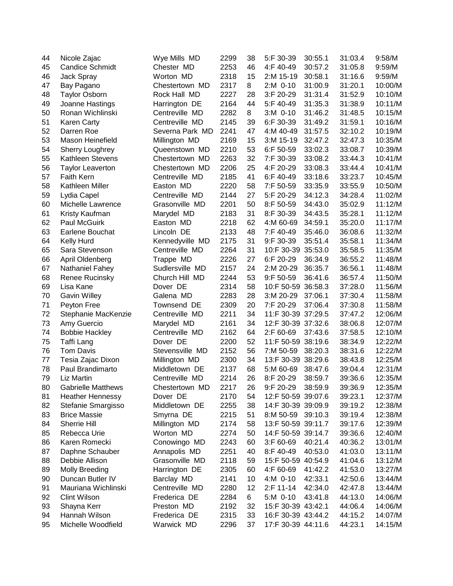| 44 | Nicole Zajac              | Wye Mills MD    | 2299 | 38 | 5:F 30-39          | 30:55.1 | 31:03.4 | 9:58/M  |
|----|---------------------------|-----------------|------|----|--------------------|---------|---------|---------|
| 45 | <b>Candice Schmidt</b>    | Chester MD      | 2253 | 46 | 4:F 40-49          | 30:57.2 | 31:05.8 | 9:59/M  |
| 46 | Jack Spray                | Worton MD       | 2318 | 15 | 2:M 15-19          | 30:58.1 | 31:16.6 | 9:59/M  |
| 47 | Bay Pagano                | Chestertown MD  | 2317 | 8  | 2:M 0-10           | 31:00.9 | 31:20.1 | 10:00/M |
| 48 | <b>Taylor Osborn</b>      | Rock Hall MD    | 2227 | 28 | 3:F 20-29          | 31:31.4 | 31:52.9 | 10:10/M |
| 49 | Joanne Hastings           | Harrington DE   | 2164 | 44 | 5:F 40-49          | 31:35.3 | 31:38.9 | 10:11/M |
| 50 | Ronan Wichlinski          | Centreville MD  | 2282 | 8  | 3:M 0-10           | 31:46.2 | 31:48.5 | 10:15/M |
| 51 | <b>Karen Carty</b>        | Centreville MD  | 2145 | 39 | 6:F 30-39          | 31:49.2 | 31:59.1 | 10:16/M |
| 52 | Darren Roe                | Severna Park MD | 2241 | 47 | 4:M 40-49          | 31:57.5 | 32:10.2 | 10:19/M |
| 53 | Mason Heinefield          | Millington MD   | 2169 | 15 | 3:M 15-19          | 32:47.2 | 32:47.3 | 10:35/M |
| 54 | <b>Sherry Loughrey</b>    | Queenstown MD   | 2210 | 53 | 6:F 50-59          | 33:02.3 | 33:08.7 | 10:39/M |
| 55 | <b>Kathleen Stevens</b>   | Chestertown MD  | 2263 | 32 | 7:F 30-39          | 33:08.2 | 33:44.3 | 10:41/M |
| 56 | <b>Taylor Leaverton</b>   | Chestertown MD  | 2206 | 25 | 4:F 20-29          | 33:08.3 | 33:44.4 | 10:41/M |
| 57 | <b>Faith Kern</b>         | Centreville MD  | 2185 | 41 | 6:F 40-49          | 33:18.6 | 33:23.7 | 10:45/M |
| 58 | Kathleen Miller           | Easton MD       | 2220 | 58 | 7:F 50-59          | 33:35.9 | 33:55.9 | 10:50/M |
| 59 | Lydia Capel               | Centreville MD  | 2144 | 27 | 5:F 20-29          | 34:12.3 | 34:28.4 | 11:02/M |
| 60 | Michelle Lawrence         | Grasonville MD  | 2201 | 50 | 8:F 50-59          | 34:43.0 | 35:02.9 | 11:12/M |
| 61 | Kristy Kaufman            | Marydel MD      | 2183 | 31 | 8:F 30-39          | 34:43.5 | 35:28.1 | 11:12/M |
| 62 | Paul McGuirk              | Easton MD       | 2218 | 62 | 4:M 60-69          | 34:59.1 | 35:20.0 | 11:17/M |
| 63 | Earlene Bouchat           | Lincoln DE      | 2133 | 48 | 7:F 40-49          | 35:46.0 | 36:08.6 | 11:32/M |
| 64 | <b>Kelly Hurd</b>         | Kennedyville MD | 2175 | 31 | 9:F 30-39          | 35:51.4 | 35:58.1 | 11:34/M |
| 65 | Sara Stevenson            | Centreville MD  | 2264 | 31 | 10:F 30-39         | 35:53.0 | 35:58.5 | 11:35/M |
| 66 | April Oldenberg           | Trappe MD       | 2226 | 27 | 6:F 20-29          | 36:34.9 | 36:55.2 | 11:48/M |
| 67 | <b>Nathaniel Fahey</b>    | Sudlersville MD | 2157 | 24 | 2:M 20-29          | 36:35.7 | 36:56.1 | 11:48/M |
| 68 | <b>Renee Rucinsky</b>     | Church Hill MD  | 2244 | 53 | 9:F 50-59          | 36:41.6 | 36:57.4 | 11:50/M |
| 69 | Lisa Kane                 | Dover DE        | 2314 | 58 | 10:F 50-59 36:58.3 |         | 37:28.0 | 11:56/M |
| 70 | <b>Gavin Willey</b>       | Galena MD       | 2283 | 28 | 3:M 20-29          | 37:06.1 | 37:30.4 | 11:58/M |
| 71 | Peyton Free               | Townsend DE     | 2309 | 20 | 7:F 20-29          | 37:06.4 | 37:30.8 | 11:58/M |
| 72 | Stephanie MacKenzie       | Centreville MD  | 2211 | 34 | 11:F 30-39 37:29.5 |         | 37:47.2 | 12:06/M |
| 73 | Amy Guercio               | Marydel MD      | 2161 | 34 | 12:F 30-39 37:32.6 |         | 38:06.8 | 12:07/M |
| 74 | <b>Bobbie Hackley</b>     | Centreville MD  | 2162 | 64 | 2:F 60-69          | 37:43.6 | 37:58.5 | 12:10/M |
| 75 | Taffi Lang                | Dover DE        | 2200 | 52 | 11:F 50-59         | 38:19.6 | 38:34.9 | 12:22/M |
| 76 | Tom Davis                 | Stevensville MD | 2152 | 56 | 7:M 50-59          | 38:20.3 | 38:31.6 | 12:22/M |
| 77 | Tesia Zajac Dixon         | Millington MD   | 2300 | 34 | 13:F 30-39 38:29.6 |         | 38:43.8 | 12:25/M |
| 78 | Paul Brandimarto          | Middletown DE   | 2137 | 68 | 5:M 60-69          | 38:47.6 | 39:04.4 | 12:31/M |
| 79 | Liz Martin                | Centreville MD  | 2214 | 26 | 8:F 20-29          | 38:59.7 | 39:36.6 | 12:35/M |
| 80 | <b>Gabrielle Matthews</b> | Chestertown MD  | 2217 | 26 | 9:F 20-29          | 38:59.9 | 39:36.9 | 12:35/M |
| 81 | <b>Heather Hennessy</b>   | Dover DE        | 2170 | 54 | 12:F 50-59 39:07.6 |         | 39:23.1 | 12:37/M |
| 82 | Stefanie Smargisso        | Middletown DE   | 2255 | 38 | 14:F 30-39 39:09.9 |         | 39:19.2 | 12:38/M |
| 83 | <b>Brice Massie</b>       | Smyrna DE       | 2215 | 51 | 8:M 50-59          | 39:10.3 | 39:19.4 | 12:38/M |
| 84 | Sherrie Hill              | Millington MD   | 2174 | 58 | 13:F 50-59 39:11.7 |         | 39:17.6 | 12:39/M |
| 85 | Rebecca Urie              | Worton MD       | 2274 | 50 | 14:F 50-59 39:14.7 |         | 39:36.6 | 12:40/M |
| 86 | Karen Romecki             | Conowingo MD    | 2243 | 60 | 3:F 60-69          | 40:21.4 | 40:36.2 | 13:01/M |
| 87 | Daphne Schauber           | Annapolis MD    | 2251 | 40 | 8:F 40-49          | 40:53.0 | 41:03.0 | 13:11/M |
| 88 | Debbie Allison            | Grasonville MD  | 2118 | 59 | 15:F 50-59 40:54.9 |         | 41:04.6 | 13:12/M |
| 89 | <b>Molly Breeding</b>     | Harrington DE   | 2305 | 60 | 4:F 60-69          | 41:42.2 | 41:53.0 | 13:27/M |
| 90 | Duncan Butler IV          | Barclay MD      | 2141 | 10 | 4:M 0-10           | 42:33.1 | 42:50.6 | 13:44/M |
| 91 | Mauriana Wichlinski       | Centreville MD  | 2280 | 12 | 2:F 11-14          | 42:34.0 | 42:47.8 | 13:44/M |
| 92 | Clint Wilson              | Frederica DE    | 2284 | 6  | 5:M 0-10           | 43:41.8 | 44:13.0 | 14:06/M |
| 93 | Shayna Kerr               | Preston MD      | 2192 | 32 | 15:F 30-39 43:42.1 |         | 44:06.4 | 14:06/M |
| 94 | Hannah Wilson             | Frederica DE    | 2315 | 33 | 16:F 30-39 43:44.2 |         | 44:15.2 | 14:07/M |
| 95 | Michelle Woodfield        | Warwick MD      | 2296 | 37 | 17:F 30-39 44:11.6 |         | 44:23.1 | 14:15/M |
|    |                           |                 |      |    |                    |         |         |         |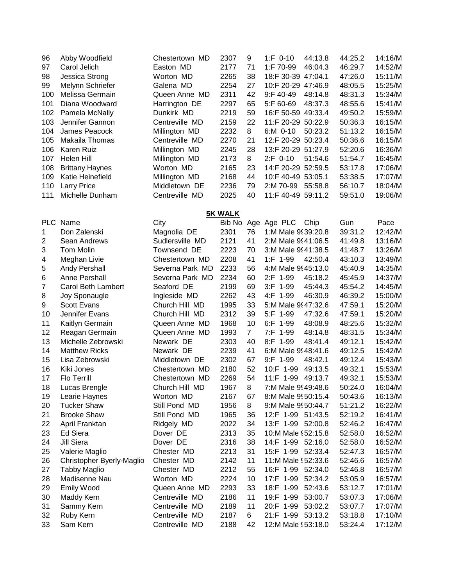| 96             | Abby Woodfield            | Chestertown MD  | 2307           | 9              | $1: F 0-10$<br>44:13.8  | 44:25.2 | 14:16/M |
|----------------|---------------------------|-----------------|----------------|----------------|-------------------------|---------|---------|
| 97             | Carol Jelich              | Easton MD       | 2177           | 71             | 1:F 70-99<br>46:04.3    | 46:29.7 | 14:52/M |
| 98             | Jessica Strong            | Worton MD       | 2265           | 38             | 18:F 30-39 47:04.1      | 47:26.0 | 15:11/M |
| 99             | Melynn Schriefer          | Galena MD       | 2254           | 27             | 10:F 20-29 47:46.9      | 48:05.5 | 15:25/M |
| 100            | Melissa Germain           | Queen Anne MD   | 2311           | 42             | $9:$ F 40-49<br>48:14.8 | 48:31.3 | 15:34/M |
| 101            | Diana Woodward            | Harrington DE   | 2297           | 65             | 5:F 60-69<br>48:37.3    | 48:55.6 | 15:41/M |
| 102            | Pamela McNally            | Dunkirk MD      | 2219           | 59             | 16:F 50-59 49:33.4      | 49:50.2 | 15:59/M |
| 103            | Jennifer Gannon           | Centreville MD  | 2159           | 22             | 11:F 20-29 50:22.9      | 50:36.3 | 16:15/M |
|                |                           |                 |                |                |                         |         |         |
| 104            | James Peacock             | Millington MD   | 2232           | 8              | 6:M 0-10<br>50:23.2     | 51:13.2 | 16:15/M |
| 105            | Makaila Thomas            | Centreville MD  | 2270           | 21             | 12:F 20-29 50:23.4      | 50:36.6 | 16:15/M |
| 106            | Karen Ruiz                | Millington MD   | 2245           | 28             | 13:F 20-29 51:27.9      | 52:20.6 | 16:36/M |
| 107            | Helen Hill                | Millington MD   | 2173           | 8              | 2:F 0-10<br>51:54.6     | 51:54.7 | 16:45/M |
| 108            | <b>Brittany Haynes</b>    | Worton MD       | 2165           | 23             | 14:F 20-29 52:59.5      | 53:17.8 | 17:06/M |
| 109            | Katie Heinefield          | Millington MD   | 2168           | 44             | 10:F 40-49 53:05.1      | 53:38.5 | 17:07/M |
| 110            | <b>Larry Price</b>        | Middletown DE   | 2236           | 79             | 2:M 70-99<br>55:58.8    | 56:10.7 | 18:04/M |
| 111            | Michelle Dunham           | Centreville MD  | 2025           | 40             | 11:F 40-49 59:11.2      | 59:51.0 | 19:06/M |
|                |                           |                 |                |                |                         |         |         |
|                |                           |                 | <b>5K WALK</b> |                |                         |         |         |
| <b>PLC</b>     | Name                      | City            | Bib No         |                | Age Age PLC<br>Chip     | Gun     | Pace    |
| $\mathbf{1}$   | Don Zalenski              | Magnolia DE     | 2301           | 76             | 1:M Male 9939:20.8      | 39:31.2 | 12:42/M |
| 2              | Sean Andrews              | Sudlersville MD | 2121           | 41             | 2:M Male 9! 41:06.5     | 41:49.8 | 13:16/M |
|                |                           |                 |                |                |                         |         |         |
| 3              | Tom Molin                 | Townsend DE     | 2223           | 70             | 3:M Male 9 41:38.5      | 41:48.7 | 13:26/M |
| 4              | Meghan Livie              | Chestertown MD  | 2208           | 41             | 1:F 1-99<br>42:50.4     | 43:10.3 | 13:49/M |
| 5              | <b>Andy Pershall</b>      | Severna Park MD | 2233           | 56             | 4:M Male 9 45:13.0      | 45:40.9 | 14:35/M |
| 6              | Anne Pershall             | Severna Park MD | 2234           | 60             | 2:F 1-99<br>45:18.2     | 45:45.9 | 14:37/M |
| $\overline{7}$ | Carol Beth Lambert        | Seaford DE      | 2199           | 69             | 3:F 1-99<br>45:44.3     | 45:54.2 | 14:45/M |
| 8              | Joy Sponaugle             | Ingleside MD    | 2262           | 43             | 4:F 1-99<br>46:30.9     | 46:39.2 | 15:00/M |
| 9              | <b>Scott Evans</b>        | Church Hill MD  | 1995           | 33             | 5:M Male 9 47:32.6      | 47:59.1 | 15:20/M |
| 10             | Jennifer Evans            | Church Hill MD  | 2312           | 39             | 5:F 1-99<br>47:32.6     | 47:59.1 | 15:20/M |
| 11             | Kaitlyn Germain           | Queen Anne MD   | 1968           | 10             | 6:F 1-99<br>48:08.9     | 48:25.6 | 15:32/M |
| 12             | Reagan Germain            | Queen Anne MD   | 1993           | $\overline{7}$ | 7:F 1-99<br>48:14.8     | 48:31.5 | 15:34/M |
| 13             | Michelle Zebrowski        | Newark DE       | 2303           | 40             | 8:F 1-99<br>48:41.4     | 49:12.1 | 15:42/M |
| 14             | <b>Matthew Ricks</b>      | Newark DE       | 2239           | 41             | 6:M Male 9 48:41.6      | 49:12.5 | 15:42/M |
| 15             | Lisa Zebrowski            | Middletown DE   | 2302           | 67             | 9:F 1-99<br>48:42.1     | 49:12.4 | 15:43/M |
| 16             | Kiki Jones                | Chestertown MD  | 2180           | 52             | 10:F 1-99<br>49:13.5    | 49:32.1 | 15:53/M |
| 17             | Flo Terrill               | Chestertown MD  | 2269           | 54             | 11:F 1-99<br>49:13.7    | 49:32.1 | 15:53/M |
|                |                           |                 |                |                |                         |         |         |
| 18             | Lucas Brengle             | Church Hill MD  | 1967           | 8              | 7:M Male 9 49:48.6      | 50:24.0 | 16:04/M |
| 19             | Learie Haynes             | Worton MD       | 2167           | 67             | 8:M Male 9! 50:15.4     | 50:43.6 | 16:13/M |
| 20             | <b>Tucker Shaw</b>        | Still Pond MD   | 1956           | 8              | 9:M Male 9! 50:44.7     | 51:21.2 | 16:22/M |
| 21             | <b>Brooke Shaw</b>        | Still Pond MD   | 1965           | 36             | 12:F 1-99 51:43.5       | 52:19.2 | 16:41/M |
| 22             | April Franktan            | Ridgely MD      | 2022           | 34             | 13:F 1-99 52:00.8       | 52:46.2 | 16:47/M |
| 23             | <b>Ed Siera</b>           | Dover DE        | 2313           | 35             | 10:M Male \; 52:15.8    | 52:58.0 | 16:52/M |
| 24             | Jill Siera                | Dover DE        | 2316           | 38             | 14:F 1-99 52:16.0       | 52:58.0 | 16:52/M |
| 25             | Valerie Maglio            | Chester MD      | 2213           | 31             | 15:F 1-99 52:33.4       | 52:47.3 | 16:57/M |
| 26             | Christopher Byerly-Maglio | Chester MD      | 2142           | 11             | 11:M Male \ 52:33.6     | 52:46.6 | 16:57/M |
| 27             | <b>Tabby Maglio</b>       | Chester MD      | 2212           | 55             | 16:F 1-99 52:34.0       | 52:46.8 | 16:57/M |
| 28             | Madisenne Nau             | Worton MD       | 2224           | 10             | 17:F 1-99<br>52:34.2    | 53:05.9 | 16:57/M |
| 29             | Emily Wood                | Queen Anne MD   | 2293           | 33             | 18:F 1-99<br>52:43.6    | 53:12.7 | 17:01/M |
| 30             | Maddy Kern                | Centreville MD  | 2186           | 11             | 19:F 1-99<br>53:00.7    | 53:07.3 | 17:06/M |
| 31             | Sammy Kern                | Centreville MD  | 2189           | 11             | 20:F 1-99<br>53:02.2    | 53:07.7 | 17:07/M |
| 32             | Ruby Kern                 | Centreville MD  | 2187           | 6              | 21:F 1-99 53:13.2       | 53:18.8 | 17:10/M |
|                |                           |                 |                |                |                         |         |         |
| 33             | Sam Kern                  | Centreville MD  | 2188           | 42             | 12:M Male \; 53:18.0    | 53:24.4 | 17:12/M |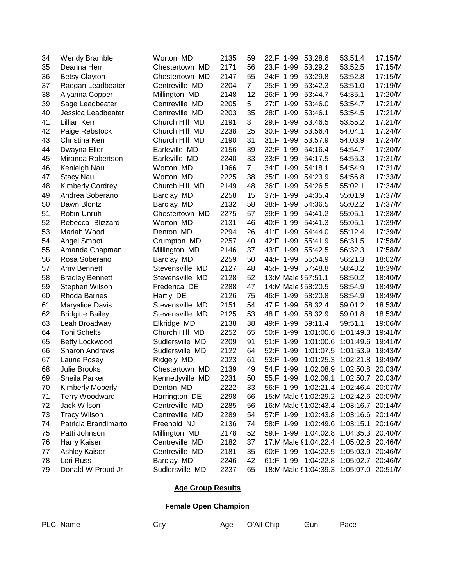| 34 | <b>Wendy Bramble</b>    | Worton MD       | 2135 | 59             | 22:F 1-99                              | 53:28.6   | 53:51.4                     | 17:15/M |
|----|-------------------------|-----------------|------|----------------|----------------------------------------|-----------|-----------------------------|---------|
| 35 | Deanna Herr             | Chestertown MD  | 2171 | 56             | 23:F 1-99                              | 53:29.2   | 53:52.5                     | 17:15/M |
| 36 | <b>Betsy Clayton</b>    | Chestertown MD  | 2147 | 55             | 24:F 1-99                              | 53:29.8   | 53:52.8                     | 17:15/M |
| 37 | Raegan Leadbeater       | Centreville MD  | 2204 | $\overline{7}$ | 25:F 1-99                              | 53:42.3   | 53:51.0                     | 17:19/M |
| 38 | Aiyanna Copper          | Millington MD   | 2148 | 12             | 26:F 1-99                              | 53:44.7   | 54:35.1                     | 17:20/M |
| 39 | Sage Leadbeater         | Centreville MD  | 2205 | 5              | 27:F 1-99                              | 53:46.0   | 53:54.7                     | 17:21/M |
| 40 | Jessica Leadbeater      | Centreville MD  | 2203 | 35             | 28:F 1-99                              | 53:46.1   | 53:54.5                     | 17:21/M |
| 41 | <b>Lillian Kerr</b>     | Church Hill MD  | 2191 | 3              | 29:F 1-99                              | 53:46.5   | 53:55.2                     | 17:21/M |
| 42 | Paige Rebstock          | Church Hill MD  | 2238 | 25             | 30:F 1-99                              | 53:56.4   | 54:04.1                     | 17:24/M |
| 43 | Christina Kerr          | Church Hill MD  | 2190 | 31             | 31:F 1-99                              | 53:57.9   | 54:03.9                     | 17:24/M |
| 44 | Dwayna Eller            | Earleville MD   | 2156 | 39             | 32:F 1-99                              | 54:16.4   | 54:54.7                     | 17:30/M |
| 45 | Miranda Robertson       | Earleville MD   | 2240 | 33             | 33:F 1-99                              | 54:17.5   | 54:55.3                     | 17:31/M |
| 46 | Kenleigh Nau            | Worton MD       | 1966 | $\overline{7}$ | 34:F 1-99                              | 54:18.1   | 54:54.9                     | 17:31/M |
| 47 | <b>Stacy Nau</b>        | Worton MD       | 2225 | 38             | 35:F 1-99                              | 54:23.9   | 54:56.8                     | 17:33/M |
| 48 | <b>Kimberly Cordrey</b> | Church Hill MD  | 2149 | 48             | 36:F 1-99                              | 54:26.5   | 55:02.1                     | 17:34/M |
| 49 | Andrea Soberano         | Barclay MD      | 2258 | 15             | 37:F 1-99                              | 54:35.4   | 55:01.9                     | 17:37/M |
| 50 | Dawn Blontz             | Barclay MD      | 2132 | 58             | 38:F<br>$1 - 99$                       | 54:36.5   | 55:02.2                     | 17:37/M |
| 51 | Robin Unruh             | Chestertown MD  | 2275 | 57             | $1 - 99$<br>39:F                       | 54:41.2   | 55:05.1                     | 17:38/M |
| 52 | Rebecca` Blizzard       | Worton MD       | 2131 | 46             | 40:F<br>$1 - 99$                       | 54:41.3   | 55:05.1                     | 17:39/M |
| 53 | Mariah Wood             | Denton MD       | 2294 | 26             | 41:F<br>$1 - 99$                       | 54:44.0   | 55:12.4                     | 17:39/M |
| 54 | Angel Smoot             | Crumpton MD     | 2257 | 40             | 42:F 1-99                              | 55:41.9   | 56:31.5                     | 17:58/M |
| 55 | Amanda Chapman          | Millington MD   | 2146 | 37             | 43:F 1-99                              | 55:42.5   | 56:32.3                     | 17:58/M |
| 56 | Rosa Soberano           | Barclay MD      | 2259 | 50             | 44:F 1-99                              | 55:54.9   | 56:21.3                     | 18:02/M |
| 57 | Amy Bennett             | Stevensville MD | 2127 | 48             | 45:F 1-99                              | 57:48.8   | 58:48.2                     | 18:39/M |
| 58 | <b>Bradley Bennett</b>  | Stevensville MD | 2128 | 52             | 13:M Male (57:51.1                     |           | 58:50.2                     | 18:40/M |
| 59 | Stephen Wilson          | Frederica DE    | 2288 | 47             | 14:M Male (58:20.5                     |           | 58:54.9                     | 18:49/M |
| 60 | Rhoda Barnes            | Hartly DE       | 2126 | 75             | 46:F 1-99                              | 58:20.8   | 58:54.9                     | 18:49/M |
| 61 | <b>Maryalice Davis</b>  | Stevensville MD | 2151 | 54             | 47:F 1-99                              | 58:32.4   | 59:01.2                     | 18:53/M |
| 62 | <b>Bridgitte Bailey</b> | Stevensville MD | 2125 | 53             | 48:F 1-99                              | 58:32.9   | 59:01.8                     | 18:53/M |
| 63 | Leah Broadway           | Elkridge MD     | 2138 | 38             | 49:F 1-99                              | 59:11.4   | 59:51.1                     | 19:06/M |
| 64 | <b>Toni Schelts</b>     | Church Hill MD  | 2252 | 65             | 50:F 1-99                              | 1:01:00.6 | 1:01:49.3                   | 19:41/M |
| 65 | Betty Lockwood          | Sudlersville MD | 2209 | 91             | $1 - 99$<br>$51:$ F                    | 1:01:00.6 | 1:01:49.6                   | 19:41/M |
| 66 | <b>Sharon Andrews</b>   | Sudlersville MD | 2122 | 64             | 52:F 1-99                              | 1:01:07.5 | 1:01:53.9                   | 19:43/M |
| 67 | Laurie Posey            | Ridgely MD      | 2023 | 61             | $1 - 99$<br>53:F                       | 1:01:25.3 | 1:02:21.8                   | 19:49/M |
| 68 | Julie Brooks            | Chestertown MD  | 2139 | 49             | 54:F<br>$1 - 99$                       | 1:02:08.9 | 1:02:50.8                   | 20:03/M |
| 69 | Sheila Parker           | Kennedyville MD | 2231 | 50             | 55:F 1-99                              | 1:02:09.1 | 1:02:50.7 20:03/M           |         |
| 70 | Kimberly Moberly        | Denton MD       | 2222 | 33             | 56:F 1-99 1:02:21.4 1:02:46.4 20:07/M  |           |                             |         |
| 71 | <b>Terry Woodward</b>   | Harrington DE   | 2298 | 66             | 15:M Male (1:02:29.2 1:02:42.6 20:09/M |           |                             |         |
| 72 | Jack Wilson             | Centreville MD  | 2285 | 56             | 16:M Male \1:02:43.4 1:03:16.7 20:14/M |           |                             |         |
| 73 | <b>Tracy Wilson</b>     | Centreville MD  | 2289 | 54             | 57:F 1-99                              |           | 1:02:43.8 1:03:16.6 20:14/M |         |
| 74 | Patricia Brandimarto    | Freehold NJ     | 2136 | 74             | 58:F 1-99                              | 1:02:49.6 | 1:03:15.1 20:16/M           |         |
| 75 | Patti Johnson           | Millington MD   | 2178 | 52             | 59:F 1-99                              |           | 1:04:02.8 1:04:35.3 20:40/M |         |
| 76 | Harry Kaiser            | Centreville MD  | 2182 | 37             | 17:M Male (1:04:22.4 1:05:02.8 20:46/M |           |                             |         |
| 77 | Ashley Kaiser           | Centreville MD  | 2181 | 35             | 60:F 1-99 1:04:22.5 1:05:03.0 20:46/M  |           |                             |         |
| 78 | Lori Russ               | Barclay MD      | 2246 | 42             | 61:F 1-99                              |           | 1:04:22.8 1:05:02.7 20:46/M |         |
| 79 | Donald W Proud Jr       | Sudlersville MD | 2237 | 65             | 18:M Male (1:04:39.3 1:05:07.0 20:51/M |           |                             |         |

### **Age Group Results**

## **Female Open Champion**

| PLC Name | City | Age O'All Chip | Gun Pace |  |
|----------|------|----------------|----------|--|
|          |      |                |          |  |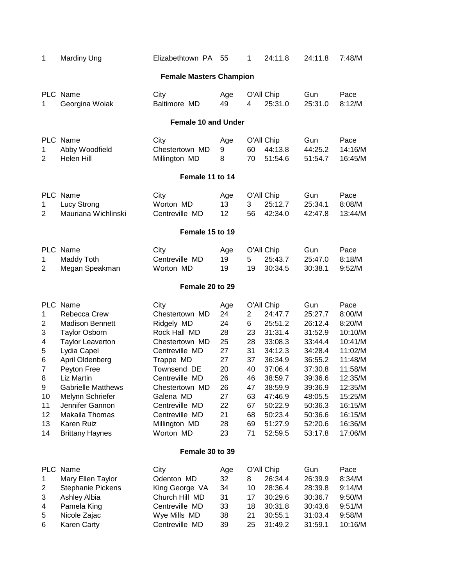| 1                                                                                                            | <b>Mardiny Ung</b>                                                                                                                                                                                                                                                                                 | Elizabethtown PA                                                                                                                                                                                                                        | 55                                                                                      | 1                                                                                           | 24:11.8                                                                                                                                                              | 24:11.8                                                                                                                                                       | 7:48/M                                                                                                                                                       |  |  |  |  |
|--------------------------------------------------------------------------------------------------------------|----------------------------------------------------------------------------------------------------------------------------------------------------------------------------------------------------------------------------------------------------------------------------------------------------|-----------------------------------------------------------------------------------------------------------------------------------------------------------------------------------------------------------------------------------------|-----------------------------------------------------------------------------------------|---------------------------------------------------------------------------------------------|----------------------------------------------------------------------------------------------------------------------------------------------------------------------|---------------------------------------------------------------------------------------------------------------------------------------------------------------|--------------------------------------------------------------------------------------------------------------------------------------------------------------|--|--|--|--|
|                                                                                                              | <b>Female Masters Champion</b>                                                                                                                                                                                                                                                                     |                                                                                                                                                                                                                                         |                                                                                         |                                                                                             |                                                                                                                                                                      |                                                                                                                                                               |                                                                                                                                                              |  |  |  |  |
| 1                                                                                                            | PLC Name<br>Georgina Woiak                                                                                                                                                                                                                                                                         | City<br>Baltimore MD                                                                                                                                                                                                                    | Age<br>49                                                                               | 4                                                                                           | O'All Chip<br>25:31.0                                                                                                                                                | Gun<br>25:31.0                                                                                                                                                | Pace<br>8:12/M                                                                                                                                               |  |  |  |  |
|                                                                                                              |                                                                                                                                                                                                                                                                                                    | <b>Female 10 and Under</b>                                                                                                                                                                                                              |                                                                                         |                                                                                             |                                                                                                                                                                      |                                                                                                                                                               |                                                                                                                                                              |  |  |  |  |
| 1<br>$\overline{2}$                                                                                          | PLC Name<br>Abby Woodfield<br>Helen Hill                                                                                                                                                                                                                                                           | City<br>Chestertown MD<br>Millington MD                                                                                                                                                                                                 | Age<br>9<br>8                                                                           | 60<br>70                                                                                    | O'All Chip<br>44:13.8<br>51:54.6                                                                                                                                     | Gun<br>44:25.2<br>51:54.7                                                                                                                                     | Pace<br>14:16/M<br>16:45/M                                                                                                                                   |  |  |  |  |
|                                                                                                              |                                                                                                                                                                                                                                                                                                    | Female 11 to 14                                                                                                                                                                                                                         |                                                                                         |                                                                                             |                                                                                                                                                                      |                                                                                                                                                               |                                                                                                                                                              |  |  |  |  |
| 1<br>$\overline{2}$                                                                                          | PLC Name<br>Lucy Strong<br>Mauriana Wichlinski                                                                                                                                                                                                                                                     | City<br>Worton MD<br>Centreville MD                                                                                                                                                                                                     | Age<br>13<br>12                                                                         | 3<br>56                                                                                     | O'All Chip<br>25:12.7<br>42:34.0                                                                                                                                     | Gun<br>25:34.1<br>42:47.8                                                                                                                                     | Pace<br>8:08/M<br>13:44/M                                                                                                                                    |  |  |  |  |
|                                                                                                              |                                                                                                                                                                                                                                                                                                    | Female 15 to 19                                                                                                                                                                                                                         |                                                                                         |                                                                                             |                                                                                                                                                                      |                                                                                                                                                               |                                                                                                                                                              |  |  |  |  |
| $\mathbf 1$<br>$\overline{2}$                                                                                | PLC Name<br>Maddy Toth<br>Megan Speakman                                                                                                                                                                                                                                                           | City<br>Centreville MD<br>Worton MD                                                                                                                                                                                                     | Age<br>19<br>19                                                                         | 5<br>19                                                                                     | O'All Chip<br>25:43.7<br>30:34.5                                                                                                                                     | Gun<br>25:47.0<br>30:38.1                                                                                                                                     | Pace<br>8:18/M<br>9:52/M                                                                                                                                     |  |  |  |  |
|                                                                                                              |                                                                                                                                                                                                                                                                                                    | Female 20 to 29                                                                                                                                                                                                                         |                                                                                         |                                                                                             |                                                                                                                                                                      |                                                                                                                                                               |                                                                                                                                                              |  |  |  |  |
| $\mathbf{1}$<br>$\overline{2}$<br>3<br>4<br>5<br>6<br>$\overline{7}$<br>8<br>9<br>10<br>11<br>12<br>13<br>14 | PLC Name<br>Rebecca Crew<br><b>Madison Bennett</b><br><b>Taylor Osborn</b><br><b>Taylor Leaverton</b><br>Lydia Capel<br>April Oldenberg<br>Peyton Free<br>Liz Martin<br><b>Gabrielle Matthews</b><br>Melynn Schriefer<br>Jennifer Gannon<br>Makaila Thomas<br>Karen Ruiz<br><b>Brittany Haynes</b> | City<br>Chestertown MD<br>Ridgely MD<br>Rock Hall MD<br>Chestertown MD<br>Centreville MD<br>Trappe MD<br>Townsend DE<br>Centreville MD<br>Chestertown MD<br>Galena MD<br>Centreville MD<br>Centreville MD<br>Millington MD<br>Worton MD | Age<br>24<br>24<br>28<br>25<br>27<br>27<br>20<br>26<br>26<br>27<br>22<br>21<br>28<br>23 | $\overline{2}$<br>6<br>23<br>28<br>31<br>37<br>40<br>46<br>47<br>63<br>67<br>68<br>69<br>71 | O'All Chip<br>24:47.7<br>25:51.2<br>31:31.4<br>33:08.3<br>34:12.3<br>36:34.9<br>37:06.4<br>38:59.7<br>38:59.9<br>47:46.9<br>50:22.9<br>50:23.4<br>51:27.9<br>52:59.5 | Gun<br>25:27.7<br>26:12.4<br>31:52.9<br>33:44.4<br>34:28.4<br>36:55.2<br>37:30.8<br>39:36.6<br>39:36.9<br>48:05.5<br>50:36.3<br>50:36.6<br>52:20.6<br>53:17.8 | Pace<br>8:00/M<br>8:20/M<br>10:10/M<br>10:41/M<br>11:02/M<br>11:48/M<br>11:58/M<br>12:35/M<br>12:35/M<br>15:25/M<br>16:15/M<br>16:15/M<br>16:36/M<br>17:06/M |  |  |  |  |
|                                                                                                              |                                                                                                                                                                                                                                                                                                    | Female 30 to 39                                                                                                                                                                                                                         |                                                                                         |                                                                                             |                                                                                                                                                                      |                                                                                                                                                               |                                                                                                                                                              |  |  |  |  |
| PLC<br>1<br>$\overline{\mathbf{c}}$<br>3<br>4<br>5<br>6                                                      | Name<br>Mary Ellen Taylor<br>Stephanie Pickens<br>Ashley Albia<br>Pamela King<br>Nicole Zajac<br>Karen Carty                                                                                                                                                                                       | City<br>Odenton MD<br>King George VA<br>Church Hill MD<br>Centreville MD<br>Wye Mills MD<br>Centreville MD                                                                                                                              | Age<br>32<br>34<br>31<br>33<br>38<br>39                                                 | 8<br>10<br>17<br>18<br>21<br>25                                                             | O'All Chip<br>26:34.4<br>28:36.4<br>30:29.6<br>30:31.8<br>30:55.1<br>31:49.2                                                                                         | Gun<br>26:39.9<br>28:39.8<br>30:36.7<br>30:43.6<br>31:03.4<br>31:59.1                                                                                         | Pace<br>8:34/M<br>9:14/M<br>9:50/M<br>9:51/M<br>9:58/M<br>10:16/M                                                                                            |  |  |  |  |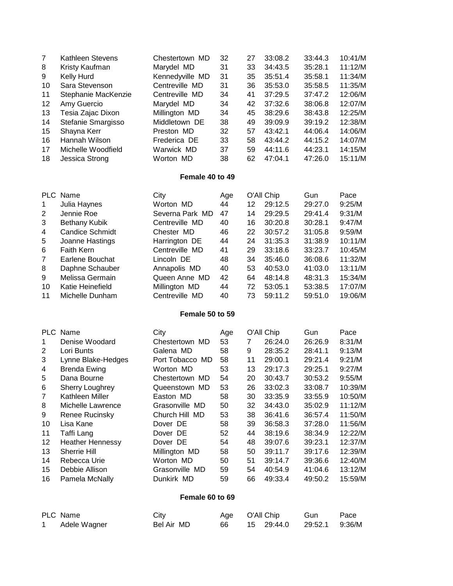| 7  | Kathleen Stevens    | Chestertown MD  | 32 | 27 | 33:08.2 | 33:44.3 | 10:41/M |
|----|---------------------|-----------------|----|----|---------|---------|---------|
| 8  | Kristy Kaufman      | Marydel MD      | 31 | 33 | 34:43.5 | 35:28.1 | 11:12/M |
| 9  | Kelly Hurd          | Kennedyville MD | 31 | 35 | 35:51.4 | 35:58.1 | 11:34/M |
| 10 | Sara Stevenson      | Centreville MD  | 31 | 36 | 35:53.0 | 35:58.5 | 11:35/M |
| 11 | Stephanie MacKenzie | Centreville MD  | 34 | 41 | 37:29.5 | 37:47.2 | 12:06/M |
| 12 | Amy Guercio         | Marydel MD      | 34 | 42 | 37:32.6 | 38:06.8 | 12:07/M |
| 13 | Tesia Zajac Dixon   | Millington MD   | 34 | 45 | 38:29.6 | 38:43.8 | 12:25/M |
| 14 | Stefanie Smargisso  | Middletown DE   | 38 | 49 | 39:09.9 | 39:19.2 | 12:38/M |
| 15 | Shayna Kerr         | Preston MD      | 32 | 57 | 43:42.1 | 44:06.4 | 14:06/M |
| 16 | Hannah Wilson       | Frederica DE    | 33 | 58 | 43:44.2 | 44:15.2 | 14:07/M |
| 17 | Michelle Woodfield  | Warwick MD      | 37 | 59 | 44:11.6 | 44:23.1 | 14:15/M |
| 18 | Jessica Strong      | Worton MD       | 38 | 62 | 47:04.1 | 47:26.0 | 15:11/M |

#### **Female 40 to 49**

| <b>PLC</b> | Name                   | City            | Age |    | O'All Chip | Gun     | Pace    |
|------------|------------------------|-----------------|-----|----|------------|---------|---------|
| 1          | Julia Haynes           | Worton MD       | 44  | 12 | 29:12.5    | 29:27.0 | 9:25/M  |
| 2          | Jennie Roe             | Severna Park MD | 47  | 14 | 29:29.5    | 29:41.4 | 9:31/M  |
| 3          | Bethany Kubik          | Centreville MD  | 40  | 16 | 30:20.8    | 30:28.1 | 9:47/M  |
| 4          | <b>Candice Schmidt</b> | Chester MD      | 46  | 22 | 30:57.2    | 31:05.8 | 9:59/M  |
| 5          | Joanne Hastings        | Harrington DE   | 44  | 24 | 31:35.3    | 31:38.9 | 10:11/M |
| 6          | <b>Faith Kern</b>      | Centreville MD  | 41  | 29 | 33:18.6    | 33:23.7 | 10:45/M |
| 7          | Earlene Bouchat        | Lincoln DE      | 48  | 34 | 35:46.0    | 36:08.6 | 11:32/M |
| 8          | Daphne Schauber        | Annapolis MD    | 40  | 53 | 40:53.0    | 41:03.0 | 13:11/M |
| 9          | Melissa Germain        | Queen Anne MD   | 42  | 64 | 48:14.8    | 48:31.3 | 15:34/M |
| 10         | Katie Heinefield       | Millington MD   | 44  | 72 | 53:05.1    | 53:38.5 | 17:07/M |
| 11         | Michelle Dunham        | Centreville MD  | 40  | 73 | 59:11.2    | 59:51.0 | 19:06/M |

#### **Female 50 to 59**

|    | PLC Name                | City            | Age |    | O'All Chip | Gun     | Pace    |
|----|-------------------------|-----------------|-----|----|------------|---------|---------|
|    | Denise Woodard          | Chestertown MD  | 53  | 7  | 26:24.0    | 26:26.9 | 8:31/M  |
| 2  | Lori Bunts              | Galena MD       | 58  | 9  | 28:35.2    | 28:41.1 | 9:13/M  |
| 3  | Lynne Blake-Hedges      | Port Tobacco MD | 58  | 11 | 29:00.1    | 29:21.4 | 9:21/M  |
| 4  | <b>Brenda Ewing</b>     | Worton MD       | 53  | 13 | 29:17.3    | 29:25.1 | 9:27/M  |
| 5  | Dana Bourne             | Chestertown MD  | 54  | 20 | 30:43.7    | 30:53.2 | 9:55/M  |
| 6  | <b>Sherry Loughrey</b>  | Queenstown MD   | 53  | 26 | 33:02.3    | 33:08.7 | 10:39/M |
| 7  | Kathleen Miller         | Easton MD       | 58  | 30 | 33:35.9    | 33:55.9 | 10:50/M |
| 8  | Michelle Lawrence       | Grasonville MD  | 50  | 32 | 34:43.0    | 35:02.9 | 11:12/M |
| 9  | Renee Rucinsky          | Church Hill MD  | 53  | 38 | 36:41.6    | 36:57.4 | 11:50/M |
| 10 | Lisa Kane               | Dover DE        | 58  | 39 | 36:58.3    | 37:28.0 | 11:56/M |
| 11 | Taffi Lang              | Dover DE        | 52  | 44 | 38:19.6    | 38:34.9 | 12:22/M |
| 12 | <b>Heather Hennessy</b> | Dover DE        | 54  | 48 | 39:07.6    | 39:23.1 | 12:37/M |
| 13 | <b>Sherrie Hill</b>     | Millington MD   | 58  | 50 | 39:11.7    | 39:17.6 | 12:39/M |
| 14 | Rebecca Urie            | Worton MD       | 50  | 51 | 39:14.7    | 39:36.6 | 12:40/M |
| 15 | Debbie Allison          | Grasonville MD  | 59  | 54 | 40:54.9    | 41:04.6 | 13:12/M |
| 16 | Pamela McNally          | Dunkirk MD      | 59  | 66 | 49:33.4    | 49:50.2 | 15:59/M |

#### **Female 60 to 69**

| PLC Name     | City       | Age O'All Chip |                             | Gun | Pace |
|--------------|------------|----------------|-----------------------------|-----|------|
| Adele Wagner | Bel Air MD | 66 -           | 15 29:44.0  29:52.1  9:36/M |     |      |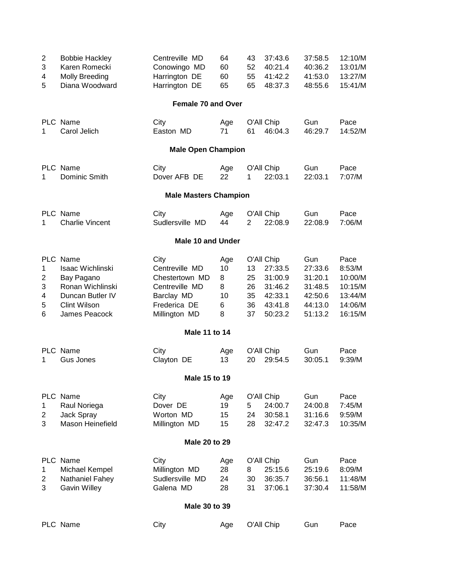| $\overline{2}$<br>3<br>4<br>5           | <b>Bobbie Hackley</b><br>Karen Romecki<br><b>Molly Breeding</b><br>Diana Woodward                                          | Centreville MD<br>Conowingo MD<br>Harrington DE<br>Harrington DE                                          | 64<br>60<br>60<br>65                | 43<br>52<br>55<br>65             | 37:43.6<br>40:21.4<br>41:42.2<br>48:37.3                                     | 37:58.5<br>40:36.2<br>41:53.0<br>48:55.6                              | 12:10/M<br>13:01/M<br>13:27/M<br>15:41/M                              |  |  |  |
|-----------------------------------------|----------------------------------------------------------------------------------------------------------------------------|-----------------------------------------------------------------------------------------------------------|-------------------------------------|----------------------------------|------------------------------------------------------------------------------|-----------------------------------------------------------------------|-----------------------------------------------------------------------|--|--|--|
|                                         |                                                                                                                            | <b>Female 70 and Over</b>                                                                                 |                                     |                                  |                                                                              |                                                                       |                                                                       |  |  |  |
| 1                                       | PLC Name<br>Carol Jelich                                                                                                   | City<br>Easton MD                                                                                         | Age<br>71                           | 61                               | O'All Chip<br>46:04.3                                                        | Gun<br>46:29.7                                                        | Pace<br>14:52/M                                                       |  |  |  |
|                                         |                                                                                                                            | <b>Male Open Champion</b>                                                                                 |                                     |                                  |                                                                              |                                                                       |                                                                       |  |  |  |
| 1                                       | PLC Name<br>Dominic Smith                                                                                                  | City<br>Dover AFB DE                                                                                      | Age<br>22                           | 1                                | O'All Chip<br>22:03.1                                                        | Gun<br>22:03.1                                                        | Pace<br>7:07/M                                                        |  |  |  |
| <b>Male Masters Champion</b>            |                                                                                                                            |                                                                                                           |                                     |                                  |                                                                              |                                                                       |                                                                       |  |  |  |
| 1                                       | PLC Name<br><b>Charlie Vincent</b>                                                                                         | City<br>Sudlersville MD                                                                                   | Age<br>44                           | $\overline{2}$                   | O'All Chip<br>22:08.9                                                        | Gun<br>22:08.9                                                        | Pace<br>7:06/M                                                        |  |  |  |
| <b>Male 10 and Under</b>                |                                                                                                                            |                                                                                                           |                                     |                                  |                                                                              |                                                                       |                                                                       |  |  |  |
| 1<br>$\overline{2}$<br>3<br>4<br>5<br>6 | PLC Name<br>Isaac Wichlinski<br>Bay Pagano<br>Ronan Wichlinski<br>Duncan Butler IV<br><b>Clint Wilson</b><br>James Peacock | City<br>Centreville MD<br>Chestertown MD<br>Centreville MD<br>Barclay MD<br>Frederica DE<br>Millington MD | Age<br>10<br>8<br>8<br>10<br>6<br>8 | 13<br>25<br>26<br>35<br>36<br>37 | O'All Chip<br>27:33.5<br>31:00.9<br>31:46.2<br>42:33.1<br>43:41.8<br>50:23.2 | Gun<br>27:33.6<br>31:20.1<br>31:48.5<br>42:50.6<br>44:13.0<br>51:13.2 | Pace<br>8:53/M<br>10:00/M<br>10:15/M<br>13:44/M<br>14:06/M<br>16:15/M |  |  |  |
|                                         |                                                                                                                            | Male 11 to 14                                                                                             |                                     |                                  |                                                                              |                                                                       |                                                                       |  |  |  |
| 1                                       | PLC Name<br><b>Gus Jones</b>                                                                                               | City<br>Clayton DE                                                                                        | Age<br>13                           | 20                               | O'All Chip<br>29:54.5                                                        | Gun<br>30:05.1                                                        | Pace<br>9:39/M                                                        |  |  |  |
|                                         |                                                                                                                            | Male 15 to 19                                                                                             |                                     |                                  |                                                                              |                                                                       |                                                                       |  |  |  |
| 1<br>$\overline{2}$<br>3                | PLC Name<br>Raul Noriega<br>Jack Spray<br>Mason Heinefield                                                                 | City<br>Dover DE<br>Worton MD<br>Millington MD                                                            | Age<br>19<br>15<br>15               | 5<br>24<br>28                    | O'All Chip<br>24:00.7<br>30:58.1<br>32:47.2                                  | Gun<br>24:00.8<br>31:16.6<br>32:47.3                                  | Pace<br>7:45/M<br>9:59/M<br>10:35/M                                   |  |  |  |
|                                         |                                                                                                                            | Male 20 to 29                                                                                             |                                     |                                  |                                                                              |                                                                       |                                                                       |  |  |  |
| 1<br>$\overline{c}$<br>3                | PLC Name<br>Michael Kempel<br>Nathaniel Fahey<br><b>Gavin Willey</b>                                                       | City<br>Millington MD<br>Sudlersville MD<br>Galena MD                                                     | Age<br>28<br>24<br>28               | 8<br>30<br>31                    | O'All Chip<br>25:15.6<br>36:35.7<br>37:06.1                                  | Gun<br>25:19.6<br>36:56.1<br>37:30.4                                  | Pace<br>8:09/M<br>11:48/M<br>11:58/M                                  |  |  |  |
|                                         |                                                                                                                            | Male 30 to 39                                                                                             |                                     |                                  |                                                                              |                                                                       |                                                                       |  |  |  |
|                                         | PLC Name                                                                                                                   | City                                                                                                      | Age                                 |                                  | O'All Chip                                                                   | Gun                                                                   | Pace                                                                  |  |  |  |